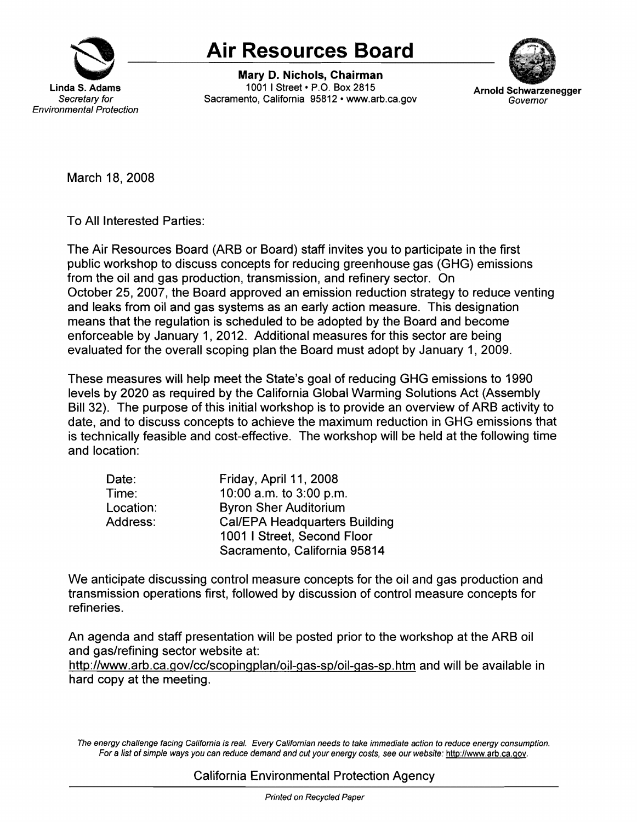

## **Air Resources Board**

Mary D. **Nichols, Chairman 1001 I Street • P.O. Box 2815 <b>Arnold Schwarzenegger Secretary for** Sacramento, California 95812 •<www.arb.ca.gov> **Governor** Governor



March 18, 2008

To All Interested Parties:

The Air Resources Board (ARB or Board) staff invites you to participate in the first public workshop to discuss concepts for reducing greenhouse gas (GHG) emissions from the oil and gas production, transmission, and refinery sector. On October 25, 2007, the Board approved an emission reduction strategy to reduce venting and leaks from oil and gas systems as an early action measure. This designation means that the regulation is scheduled to be adopted by the Board and become enforceable by January 1, 2012. Additional measures for this sector are being evaluated for the overall scoping plan the Board must adopt by January 1, 2009.

These measures will help meet the State's goal of reducing GHG emissions to 1990 levels by 2020 as required by the California Global Warming Solutions Act (Assembly Bill 32). The purpose of this initial workshop is to provide an overview of ARB activity to date, and to discuss concepts to achieve the maximum reduction in GHG emissions that is technically feasible and cost-effective. The workshop will be held at the following time and location:

| Date:     | Friday, April 11, 2008               |
|-----------|--------------------------------------|
| Time:     | 10:00 a.m. to 3:00 p.m.              |
| Location: | <b>Byron Sher Auditorium</b>         |
| Address:  | <b>Cal/EPA Headquarters Building</b> |
|           | 1001 I Street, Second Floor          |
|           | Sacramento, California 95814         |

We anticipate discussing control measure concepts for the oil and gas production and transmission operations first, followed by discussion of control measure concepts for refineries.

An agenda and staff presentation will be posted prior to the workshop at the ARB oil and gas/refining sector website at:

<http://www.arb.ca.gov/cc/scopingplan/oil-gas-sp/oil-gas-sp.htm> and will be available in hard copy at the meeting.

The energy challenge facing California is real. Every Californian needs to take immediate action to reduce energy consumption. For a list of simple ways you can reduce demand and cut your energy costs, see our website: [http://www.arb.ca.gov.](http://www.arb.ca.gov)